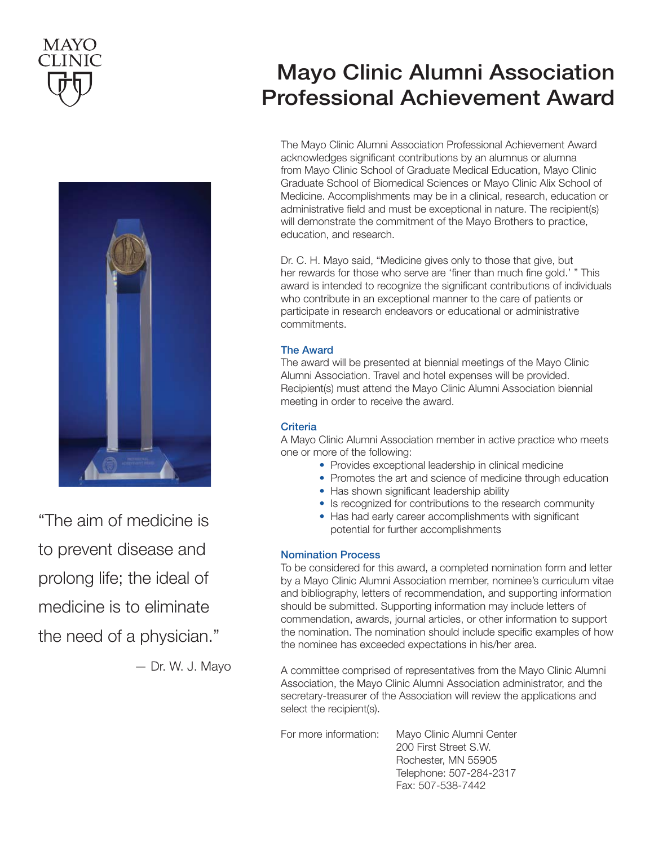



"The aim of medicine is to prevent disease and prolong life; the ideal of medicine is to eliminate *medicine is to eliminate*  the need of a physician." *the need of a physician." to prevent disease and prolong life; the ideal of* 

— Dr. W. J. Mayo *— Dr. W. J. Mayo*

# Mayo Clinic Alumni Association Professional Achievement Award

 *he Mayo Clinic Alumni Association Professional Achievement Award*  Graduate School of Biomedical Sciences or Mayo Clinic Alix School of *acknowledges significant contributions by an alumnus or alumna from Mayo*  Medicine. Accomplishments may be in a clinical, research, education or administrative field and must be exceptional in nature. The recipient(s) *Medical School. Accomplishments may be in a clinical, research, education or*  will demonstrate the commitment of the Mayo Brothers to practice, *demonstrate the commitment of the Mayo Brothers to practice, education, and*  education, and research. The Mayo Clinic Alumni Association Professional Achievement Award acknowledges significant contributions by an alumnus or alumna from Mayo Clinic School of Graduate Medical Education, Mayo Clinic

*Dr. C. H. Mayo said, "Medicine gives only to those that give, but*  Dr. C. H. Mayo said, "Medicine gives only to those that give, but her rewards for those who serve are 'finer than much fine gold.' " This *who contribute in an exceptional manner to the care of patients or participate*  award is intended to recognize the significant contributions of individuals who contribute in an exceptional manner to the care of patients or *The award will be presented at biennial meetings of the Mayo Clinic*  commitments. participate in research endeavors or educational or administrative

### *must attend the Mayo Clinic Alumni Association biennial meeting in order*  The Award

*the rividia*<br>The award will be presented at biennial meetings of the Mayo Clinic *A Mayo Clinic Alumni Association member in active practice who meets*  Recipient(s) must attend the Mayo Clinic Alumni Association biennial *one or more of the following: Provides exceptional leadership in clinical medicine* meeting in order to receive the award. Alumni Association. Travel and hotel expenses will be provided.

### *Has shown significant leadership ability* Criteria

*Is recognized for contributions to the research community Has had early career accomplishments with significant potential for*  A Mayo Clinic Alumni Association member in active practice who meets one or more of the following:

- Provides exceptional leadership in clinical medicine
- Promotes the art and science of medicine through education
- *To be considered for this award, a completed nomination form and letter by*  • Has shown significant leadership ability
- Is recognized for contributions to the research community
- Has had early career accomplishments with significant *awards, journal articles, or other information to support the nomination. The*  potential for further accomplishments

### *A committee comprise from the Mayo Clinic Alumni <b>A*

To be considered for this award, a completed nomination form and letter *secretary-treasurer of the Association will review the applications and select the recipient(s).* by a Mayo Clinic Alumni Association member, nominee's curriculum vitae should be submitted. Supporting information may include letters of *200 First Street S.W.* commendation, awards, journal articles, or other information to support the nomination. The nomination should include specific examples of how *Fax: 507-538-7442* the nominee has exceeded expectations in his/her area. and bibliography, letters of recommendation, and supporting information

> A committee comprised of representatives from the Mayo Clinic Alumni Association, the Mayo Clinic Alumni Association administrator, and the secretary-treasurer of the Association will review the applications and select the recipient(s).

 $M_{\rm{eff}}$  , and  $M_{\rm{eff}}$  12/2016.pdf 1 12/2016.pdf 1 12/2016.pdf 1 12/2016.pdf 1 12/2016.pdf 1 12/20 For more information: Mayo Clinic Alumni Center 200 First Street S.W. Rochester, MN 55905 Telephone: 507-284-2317 Fax: 507-538-7442